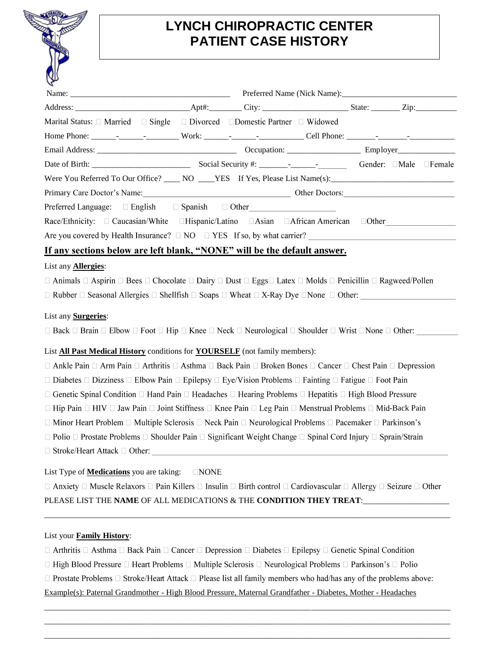

## **LYNCH CHIROPRACTIC CENTER PATIENT CASE HISTORY**

| Marital Status: $\Box$ Married $\Box$ Single $\Box$ Divorced $\Box$ Domestic Partner $\Box$ Widowed                                                               |  |  |
|-------------------------------------------------------------------------------------------------------------------------------------------------------------------|--|--|
|                                                                                                                                                                   |  |  |
|                                                                                                                                                                   |  |  |
|                                                                                                                                                                   |  |  |
|                                                                                                                                                                   |  |  |
| Primary Care Doctor's Name: 1980 Mannel 2008 Mannel 2014 Manne 2014 Manne 2014 Manne 2014 Manne 2014 Manne 201                                                    |  |  |
| Preferred Language: □ English □ Spanish □ Other_________________________________                                                                                  |  |  |
| Race/Ethnicity: Caucasian/White CHispanic/Latino CAsian CAfrican American COther                                                                                  |  |  |
| Are you covered by Health Insurance? $\square$ NO $\square$ YES If so, by what carrier?                                                                           |  |  |
| If any sections below are left blank, "NONE" will be the default answer.                                                                                          |  |  |
| List any <b>Allergies</b> :                                                                                                                                       |  |  |
| $\Box$ Animals $\Box$ Aspirin $\Box$ Bees $\Box$ Chocolate $\Box$ Dairy $\Box$ Dust $\Box$ Eggs $\Box$ Latex $\Box$ Molds $\Box$ Penicillin $\Box$ Ragweed/Pollen |  |  |
| $\Box$ Rubber $\Box$ Seasonal Allergies $\Box$ Shellfish $\Box$ Soaps $\Box$ Wheat $\Box$ X-Ray Dye $\Box$ None $\Box$ Other:                                     |  |  |
| List any <b>Surgeries</b> :                                                                                                                                       |  |  |
| $\Box$ Back $\Box$ Brain $\Box$ Elbow $\Box$ Foot $\Box$ Hip $\Box$ Knee $\Box$ Neck $\Box$ Neurological $\Box$ Shoulder $\Box$ Wrist $\Box$ None $\Box$ Other:   |  |  |
| List All Past Medical History conditions for YOURSELF (not family members):                                                                                       |  |  |
| $\Box$ Ankle Pain $\Box$ Arm Pain $\Box$ Arthritis $\Box$ Asthma $\Box$ Back Pain $\Box$ Broken Bones $\Box$ Cancer $\Box$ Chest Pain $\Box$ Depression           |  |  |
|                                                                                                                                                                   |  |  |
| $\Box$ Diabetes $\Box$ Dizziness $\Box$ Elbow Pain $\Box$ Epilepsy $\Box$ Eye/Vision Problems $\Box$ Fainting $\Box$ Fatigue $\Box$ Foot Pain                     |  |  |
| $\Box$ Genetic Spinal Condition $\Box$ Hand Pain $\Box$ Headaches $\Box$ Hearing Problems $\Box$ Hepatitis $\Box$ High Blood Pressure                             |  |  |
| $\Box$ Hip Pain $\Box$ HIV $\Box$ Jaw Pain $\Box$ Joint Stiffness $\Box$ Knee Pain $\Box$ Leg Pain $\Box$ Menstrual Problems $\Box$ Mid-Back Pain                 |  |  |
| $\Box$ Minor Heart Problem $\Box$ Multiple Sclerosis $\Box$ Neck Pain $\Box$ Neurological Problems $\Box$ Pacemaker $\Box$ Parkinson's                            |  |  |
| $\Box$ Polio $\Box$ Prostate Problems $\Box$ Shoulder Pain $\Box$ Significant Weight Change $\Box$ Spinal Cord Injury $\Box$ Sprain/Strain                        |  |  |

□ Anxiety □ Muscle Relaxors □ Pain Killers □ Insulin □ Birth control □ Cardiovascular □ Allergy □ Seizure □ Other PLEASE LIST THE **NAME** OF ALL MEDICATIONS & THE **CONDITION THEY TREAT**:\_\_\_\_\_\_\_\_\_\_\_\_\_\_\_\_\_\_\_\_\_

\_\_\_\_\_\_\_\_\_\_\_\_\_\_\_\_\_\_\_\_\_\_\_\_\_\_\_\_\_\_\_\_\_\_\_\_\_\_\_\_\_\_\_\_\_\_\_\_\_\_\_\_\_\_\_\_\_\_\_\_\_\_\_\_\_\_\_\_\_\_\_\_\_\_\_\_\_\_\_\_\_\_\_\_\_\_\_\_\_\_\_\_\_\_\_\_\_\_\_

## List your **Family History**:

 $\Box$  Arthritis  $\Box$  Asthma  $\Box$  Back Pain  $\Box$  Cancer  $\Box$  Depression  $\Box$  Diabetes  $\Box$  Epilepsy  $\Box$  Genetic Spinal Condition  $\Box$  High Blood Pressure  $\Box$  Heart Problems  $\Box$  Multiple Sclerosis  $\Box$  Neurological Problems  $\Box$  Parkinson's  $\Box$  Polio  $\Box$  Prostate Problems  $\Box$  Stroke/Heart Attack  $\Box$  Please list all family members who had/has any of the problems above: Example(s): Paternal Grandmother - High Blood Pressure, Maternal Grandfather - Diabetes, Mother - Headaches

\_\_\_\_\_\_\_\_\_\_\_\_\_\_\_\_\_\_\_\_\_\_\_\_\_\_\_\_\_\_\_\_\_\_\_\_\_\_\_\_\_\_\_\_\_\_\_\_\_\_\_\_\_\_\_\_\_\_\_\_\_\_\_\_\_\_\_\_\_\_\_\_\_\_\_\_\_\_\_\_\_\_\_\_\_\_\_\_\_\_\_\_\_\_\_\_\_\_\_ \_\_\_\_\_\_\_\_\_\_\_\_\_\_\_\_\_\_\_\_\_\_\_\_\_\_\_\_\_\_\_\_\_\_\_\_\_\_\_\_\_\_\_\_\_\_\_\_\_\_\_\_\_\_\_\_\_\_\_\_\_\_\_\_\_\_\_\_\_\_\_\_\_\_\_\_\_\_\_\_\_\_\_\_\_\_\_\_\_\_\_\_\_\_\_\_\_\_\_ \_\_\_\_\_\_\_\_\_\_\_\_\_\_\_\_\_\_\_\_\_\_\_\_\_\_\_\_\_\_\_\_\_\_\_\_\_\_\_\_\_\_\_\_\_\_\_\_\_\_\_\_\_\_\_\_\_\_\_\_\_\_\_\_\_\_\_\_\_\_\_\_\_\_\_\_\_\_\_\_\_\_\_\_\_\_\_\_\_\_\_\_\_\_\_\_\_\_\_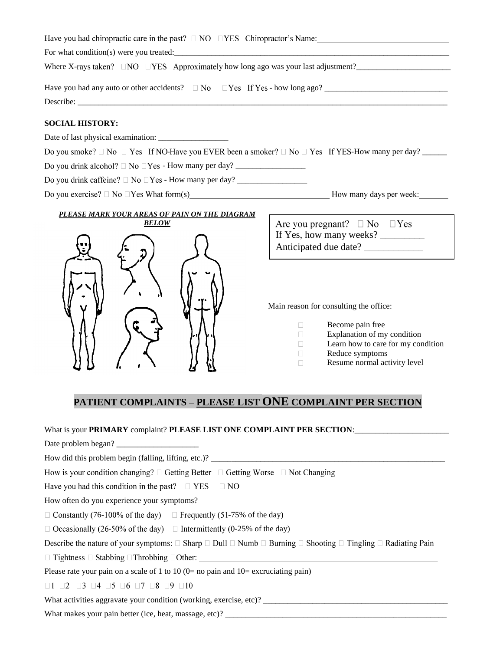| Have you had chiropractic care in the past? $\square$ NO $\square$ YES Chiropractor's Name:                                |                                                                                  |  |
|----------------------------------------------------------------------------------------------------------------------------|----------------------------------------------------------------------------------|--|
|                                                                                                                            |                                                                                  |  |
| Where X-rays taken? $\Box NO \Box YES$ Approximately how long ago was your last adjustment?                                |                                                                                  |  |
|                                                                                                                            |                                                                                  |  |
|                                                                                                                            |                                                                                  |  |
| <b>SOCIAL HISTORY:</b>                                                                                                     |                                                                                  |  |
|                                                                                                                            |                                                                                  |  |
| Do you smoke? $\Box$ No $\Box$ Yes If NO-Have you EVER been a smoker? $\Box$ No $\Box$ Yes If YES-How many per day? ______ |                                                                                  |  |
|                                                                                                                            |                                                                                  |  |
|                                                                                                                            |                                                                                  |  |
|                                                                                                                            |                                                                                  |  |
| PLEASE MARK YOUR AREAS OF PAIN ON THE DIAGRAM                                                                              |                                                                                  |  |
| <b>BELOW</b>                                                                                                               | Are you pregnant? $\square$ No $\square$ Yes                                     |  |
|                                                                                                                            | If Yes, how many weeks?                                                          |  |
|                                                                                                                            | Anticipated due date?                                                            |  |
|                                                                                                                            |                                                                                  |  |
|                                                                                                                            |                                                                                  |  |
|                                                                                                                            |                                                                                  |  |
|                                                                                                                            | Main reason for consulting the office:                                           |  |
|                                                                                                                            | Become pain free<br>$\Box$                                                       |  |
|                                                                                                                            | Explanation of my condition<br>$\Box$<br>Learn how to care for my condition<br>П |  |
|                                                                                                                            | Reduce symptoms<br>П                                                             |  |
|                                                                                                                            | Resume normal activity level<br>П                                                |  |
|                                                                                                                            |                                                                                  |  |

## **PATIENT COMPLAINTS – PLEASE LIST ONE COMPLAINT PER SECTION**

## What is your **PRIMARY** complaint? **PLEASE LIST ONE COMPLAINT PER SECTION**:\_\_\_\_\_\_\_\_\_\_\_\_\_\_\_\_\_\_\_\_\_\_\_

Date problem began?

How did this problem begin (falling, lifting, etc.)? \_\_\_\_\_\_\_\_\_\_\_\_\_\_\_\_\_\_\_\_\_\_\_\_\_\_\_\_\_\_\_\_\_\_\_\_\_\_\_\_\_\_\_\_\_\_\_\_\_\_\_\_\_\_\_\_\_

How is your condition changing?  $\Box$  Getting Better  $\Box$  Getting Worse  $\Box$  Not Changing

Have you had this condition in the past?  $\square$  YES  $\square$  NO

How often do you experience your symptoms?

 $\Box$  Constantly (76-100% of the day)  $\Box$  Frequently (51-75% of the day)

 $\Box$  Occasionally (26-50% of the day)  $\Box$  Intermittently (0-25% of the day)

 $\Box$  Tightness  $\Box$  Stabbing  $\Box$ Throbbing  $\Box$ Other:

Please rate your pain on a scale of 1 to 10 ( $0=$  no pain and  $10=$  excruciating pain)

 $\Box$ 1  $\Box$ 2  $\Box$ 3  $\Box$ 4  $\Box$ 5  $\Box$ 6  $\Box$ 7  $\Box$ 8  $\Box$ 9  $\Box$ 10

What activities aggravate your condition (working, exercise, etc)? \_\_\_\_\_\_\_\_\_\_\_\_\_\_\_\_\_\_\_\_\_\_\_\_\_\_\_\_\_\_\_\_\_\_\_\_\_\_\_\_\_\_\_\_\_

What makes your pain better (ice, heat, massage, etc)? \_\_\_\_\_\_\_\_\_\_\_\_\_\_\_\_\_\_\_\_\_\_\_\_\_\_